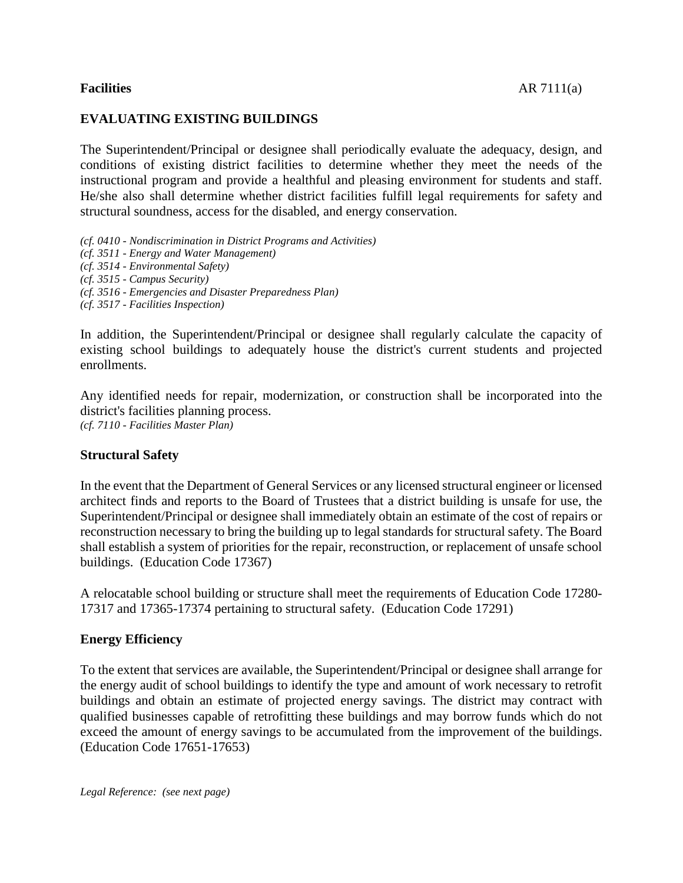## **EVALUATING EXISTING BUILDINGS**

The Superintendent/Principal or designee shall periodically evaluate the adequacy, design, and conditions of existing district facilities to determine whether they meet the needs of the instructional program and provide a healthful and pleasing environment for students and staff. He/she also shall determine whether district facilities fulfill legal requirements for safety and structural soundness, access for the disabled, and energy conservation.

*(cf. 0410 - Nondiscrimination in District Programs and Activities) (cf. 3511 - Energy and Water Management) (cf. 3514 - Environmental Safety) (cf. 3515 - Campus Security) (cf. 3516 - Emergencies and Disaster Preparedness Plan)*

*(cf. 3517 - Facilities Inspection)*

In addition, the Superintendent/Principal or designee shall regularly calculate the capacity of existing school buildings to adequately house the district's current students and projected enrollments.

Any identified needs for repair, modernization, or construction shall be incorporated into the district's facilities planning process. *(cf. 7110 - Facilities Master Plan)*

#### **Structural Safety**

In the event that the Department of General Services or any licensed structural engineer or licensed architect finds and reports to the Board of Trustees that a district building is unsafe for use, the Superintendent/Principal or designee shall immediately obtain an estimate of the cost of repairs or reconstruction necessary to bring the building up to legal standards for structural safety. The Board shall establish a system of priorities for the repair, reconstruction, or replacement of unsafe school buildings. (Education Code 17367)

A relocatable school building or structure shall meet the requirements of Education Code 17280- 17317 and 17365-17374 pertaining to structural safety. (Education Code 17291)

### **Energy Efficiency**

To the extent that services are available, the Superintendent/Principal or designee shall arrange for the energy audit of school buildings to identify the type and amount of work necessary to retrofit buildings and obtain an estimate of projected energy savings. The district may contract with qualified businesses capable of retrofitting these buildings and may borrow funds which do not exceed the amount of energy savings to be accumulated from the improvement of the buildings. (Education Code 17651-17653)

*Legal Reference: (see next page)*